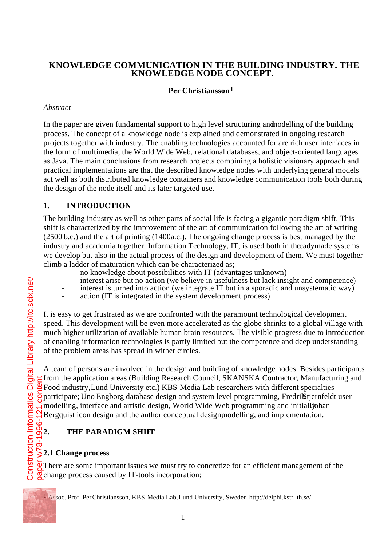## **KNOWLEDGE COMMUNICATION IN THE BUILDING INDUSTRY. THE KNOWLEDGE NODE CONCEPT.**

## **Per Christiansson 1**

## *Abstract*

In the paper are given fundamental support to high level structuring and modelling of the building process. The concept of a knowledge node is explained and demonstrated in ongoing research projects together with industry. The enabling technologies accounted for are rich user interfaces in the form of multimedia, the World Wide Web, relational databases, and object-oriented languages as Java. The main conclusions from research projects combining a holistic visionary approach and practical implementations are that the described knowledge nodes with underlying general models act well as both distributed knowledge containers and knowledge communication tools both during the design of the node itself and its later targeted use.

## **1. INTRODUCTION**

The building industry as well as other parts of social life is facing a gigantic paradigm shift. This shift is characterized by the improvement of the art of communication following the art of writing  $(2500 b.c.)$  and the art of printing  $(1400 a.c.)$ . The ongoing change process is best managed by the industry and academia together. Information Technology, IT, is used both in the adymade systems we develop but also in the actual process of the design and development of them. We must together climb a ladder of maturation which can be characterized as;

- no knowledge about possibilities with IT (advantages unknown)
- interest arise but no action (we believe in usefulness but lack insight and competence)
- interest is turned into action (we integrate IT but in a sporadic and unsystematic way)
	- action (IT is integrated in the system development process)

It is easy to get frustrated as we are confronted with the paramount technological development speed. This development will be even more accelerated as the globe shrinks to a global village with much higher utilization of available human brain resources. The visible progress due to introduction of enabling information technologies is partly limited but the competence and deep understanding of the problem areas has spread in wither circles.

A team of persons are involved in the design and building of knowledge nodes. Besides participants from the application areas (Building Research Council, SKANSKA Contractor, Manufacturing and Food industry, Lund University etc.) KBS-Media Lab researchers with different specialties participate; Uno Engborg database design and system level programming, Fredrik Stjernfeldt user modelling, interface and artistic design, World Wide Web programming and initially ohan Bergquist icon design and the author conceptual design modelling, and implementation.

# **2. THE PARADIGM SHIFT**

## **2.1 Change process**

There are some important issues we must try to concretize for an efficient management of the  $\sqrt{8}$ change process caused by IT-tools incorporation;

j

<sup>1</sup> Assoc. Prof. Per Christiansson, KBS-Media Lab, Lund University, Sweden. http://delphi.kstr.lth.se/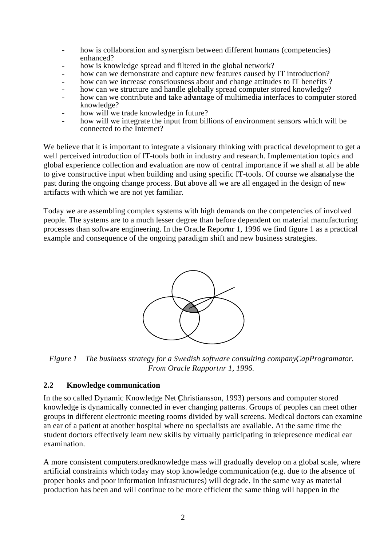- how is collaboration and synergism between different humans (competencies) enhanced?
- how is knowledge spread and filtered in the global network?
- how can we demonstrate and capture new features caused by IT introduction?
- how can we increase consciousness about and change attitudes to IT benefits ?
- how can we structure and handle globally spread computer stored knowledge?
- how can we contribute and take advantage of multimedia interfaces to computer stored knowledge?
- how will we trade knowledge in future?
- how will we integrate the input from billions of environment sensors which will be connected to the Internet?

We believe that it is important to integrate a visionary thinking with practical development to get a well perceived introduction of IT-tools both in industry and research. Implementation topics and global experience collection and evaluation are now of central importance if we shall at all be able to give constructive input when building and using specific IT-tools. Of course we also analyse the past during the ongoing change process. But above all we are all engaged in the design of new artifacts with which we are not yet familiar.

Today we are assembling complex systems with high demands on the competencies of involved people. The systems are to a much lesser degree than before dependent on material manufacturing processes than software engineering. In the Oracle Report  $1, 1996$  we find figure 1 as a practical example and consequence of the ongoing paradigm shift and new business strategies.



*Figure 1 The business strategy for a Swedish software consulting companyCapProgramator.* **From Oracle Rapportnr 1, 1996.** 

#### **2.2 Knowledge communication**

In the so called Dynamic Knowledge Net (Christiansson, 1993) persons and computer stored knowledge is dynamically connected in ever changing patterns. Groups of peoples can meet other groups in different electronic meeting rooms divided by wall screens. Medical doctors can examine an ear of a patient at another hospital where no specialists are available. At the same time the student doctors effectively learn new skills by virtually participating in telepresence medical ear examination.

A more consistent computer stored knowledge mass will gradually develop on a global scale, where artificial constraints which today may stop knowledge communication (e.g. due to the absence of proper books and poor information infrastructures) will degrade. In the same way as material production has been and will continue to be more efficient the same thing will happen in the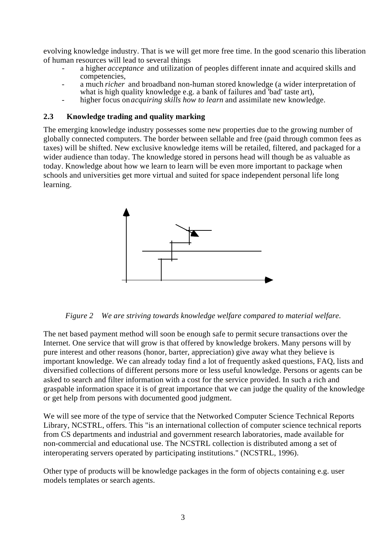evolving knowledge industry. That is we will get more free time. In the good scenario this liberation of human resources will lead to several things

- a higher *acceptance* and utilization of peoples different innate and acquired skills and competencies,
- a much *richer* and broadband non-human stored knowledge (a wider interpretation of what is high quality knowledge e.g. a bank of failures and 'bad' taste art),
- higher focus on *acquiring skills how to learn* and assimilate new knowledge.

#### **2.3 Knowledge trading and quality marking**

The emerging knowledge industry possesses some new properties due to the growing number of globally connected computers. The border between sellable and free (paid through common fees as taxes) will be shifted. New exclusive knowledge items will be retailed, filtered, and packaged for a wider audience than today. The knowledge stored in persons head will though be as valuable as today. Knowledge about how we learn to learn will be even more important to package when schools and universities get more virtual and suited for space independent personal life long learning.



*Figure 2 We are striving towards knowledge welfare compared to material welfare.*

The net based payment method will soon be enough safe to permit secure transactions over the Internet. One service that will grow is that offered by knowledge brokers. Many persons will by pure interest and other reasons (honor, barter, appreciation) give away what they believe is important knowledge. We can already today find a lot of frequently asked questions, FAQ, lists and diversified collections of different persons more or less useful knowledge. Persons or agents can be asked to search and filter information with a cost for the service provided. In such a rich and graspable information space it is of great importance that we can judge the quality of the knowledge or get help from persons with documented good judgment.

We will see more of the type of service that the Networked Computer Science Technical Reports Library, NCSTRL, offers. This "is an international collection of computer science technical reports from CS departments and industrial and government research laboratories, made available for non-commercial and educational use. The NCSTRL collection is distributed among a set of interoperating servers operated by participating institutions." (NCSTRL, 1996).

Other type of products will be knowledge packages in the form of objects containing e.g. user models templates or search agents.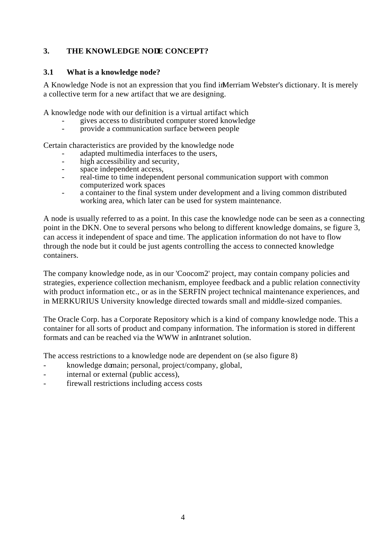## **3. THE KNOWLEDGE NODE CONCEPT?**

#### **3.1 What is a knowledge node?**

A Knowledge Node is not an expression that you find in Merriam Webster's dictionary. It is merely a collective term for a new artifact that we are designing.

A knowledge node with our definition is a virtual artifact which

- gives access to distributed computer stored knowledge
- provide a communication surface between people

Certain characteristics are provided by the knowledge node

- adapted multimedia interfaces to the users,
- high accessibility and security,
- space independent access.
- real-time to time independent personal communication support with common computerized work spaces
- a container to the final system under development and a living common distributed working area, which later can be used for system maintenance.

A node is usually referred to as a point. In this case the knowledge node can be seen as a connecting point in the DKN. One to several persons who belong to different knowledge domains, se figure 3, can access it independent of space and time. The application information do not have to flow through the node but it could be just agents controlling the access to connected knowledge containers.

The company knowledge node, as in our 'Coocom2' project, may contain company policies and strategies, experience collection mechanism, employee feedback and a public relation connectivity with product information etc., or as in the SERFIN project technical maintenance experiences, and in MERKURIUS University knowledge directed towards small and middle-sized companies.

The Oracle Corp. has a Corporate Repository which is a kind of company knowledge node. This a container for all sorts of product and company information. The information is stored in different formats and can be reached via the WWW in anIntranet solution.

The access restrictions to a knowledge node are dependent on (se also figure 8)

- knowledge domain; personal, project/company, global,
- internal or external (public access),
- firewall restrictions including access costs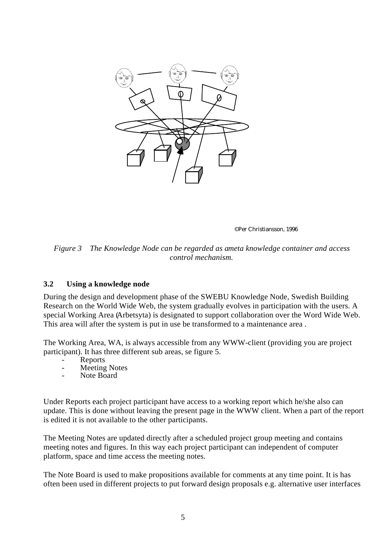

©Per Christiansson, 1996

*Figure 3 The Knowledge Node can be regarded as ameta knowledge container and access control mechanism.*

#### **3.2 Using a knowledge node**

During the design and development phase of the SWEBU Knowledge Node, Swedish Building Research on the World Wide Web, the system gradually evolves in participation with the users. A special Working Area (Arbetsyta) is designated to support collaboration over the Word Wide Web. This area will after the system is put in use be transformed to a maintenance area .

The Working Area, WA, is always accessible from any WWW-client (providing you are project participant). It has three different sub areas, se figure 5.

- **Reports**
- Meeting Notes
- Note Board

Under Reports each project participant have access to a working report which he/she also can update. This is done without leaving the present page in the WWW client. When a part of the report is edited it is not available to the other participants.

The Meeting Notes are updated directly after a scheduled project group meeting and contains meeting notes and figures. In this way each project participant can independent of computer platform, space and time access the meeting notes.

The Note Board is used to make propositions available for comments at any time point. It is has often been used in different projects to put forward design proposals e.g. alternative user interfaces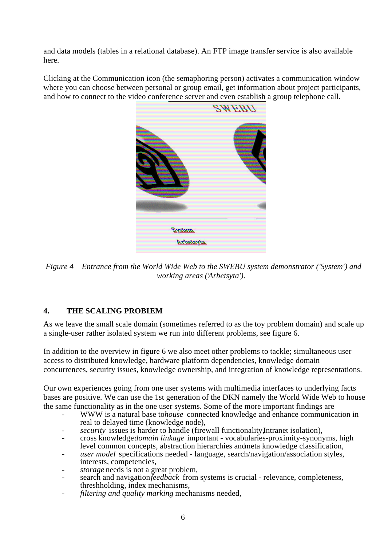and data models (tables in a relational database). An FTP image transfer service is also available here.

Clicking at the Communication icon (the semaphoring person) activates a communication window where you can choose between personal or group email, get information about project participants, and how to connect to the video conference server and even establish a group telephone call.



*Figure 4 Entrance from the World Wide Web to the SWEBU system demonstrator ('System') and working areas ('Arbetsyta').*

## **4. THE SCALING PROBLEM**

As we leave the small scale domain (sometimes referred to as the toy problem domain) and scale up a single-user rather isolated system we run into different problems, see figure 6.

In addition to the overview in figure 6 we also meet other problems to tackle; simultaneous user access to distributed knowledge, hardware platform dependencies, knowledge domain concurrences, security issues, knowledge ownership, and integration of knowledge representations.

Our own experiences going from one user systems with multimedia interfaces to underlying facts bases are positive. We can use the 1st generation of the DKN namely the World Wide Web to house the same functionality as in the one user systems. Some of the more important findings are

- WWW is a natural base tohouse connected knowledge and enhance communication in real to delayed time (knowledge node),
- security issues is harder to handle (firewall functionality, Intranet isolation),
- cross knowledge *domain linkage* important vocabularies-proximity-synonyms, high level common concepts, abstraction hierarchies and meta knowledge classification,
- *user model* specifications needed language, search/navigation/association styles, interests, competencies,
- *storage* needs is not a great problem,
- search and navigation *feedback* from systems is crucial relevance, completeness, threshholding, index mechanisms,
- *filtering and quality marking* mechanisms needed,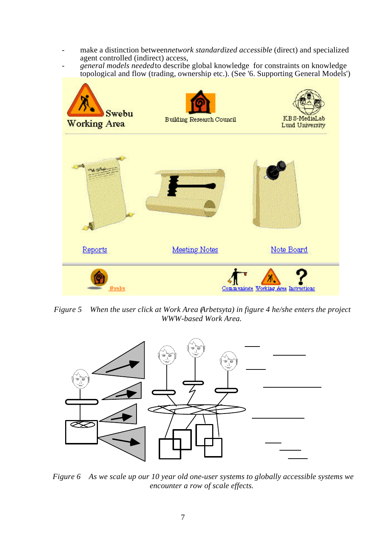- make a distinction between *network standardized accessible* (direct) and specialized agent controlled (indirect) access,
- *general models needed* to describe global knowledge for constraints on knowledge topological and flow (trading, ownership etc.). (See '6. Supporting General Models')



*Figure 5 When the user click at Work Area (Arbetsyta) in figure 4 he/she enters the project WWW-based Work Area.*



*Figure 6 As we scale up our 10 year old one-user systems to globally accessible systems we encounter a row of scale effects.*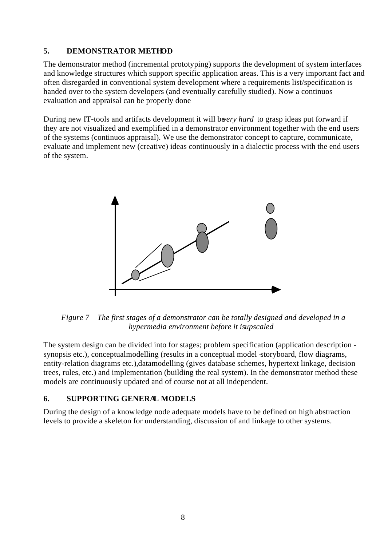#### **5. DEMONSTRATOR METHOD**

The demonstrator method (incremental prototyping) supports the development of system interfaces and knowledge structures which support specific application areas. This is a very important fact and often disregarded in conventional system development where a requirements list/specification is handed over to the system developers (and eventually carefully studied). Now a continuos evaluation and appraisal can be properly done

During new IT-tools and artifacts development it will be *ery hard* to grasp ideas put forward if they are not visualized and exemplified in a demonstrator environment together with the end users of the systems (continuos appraisal). We use the demonstrator concept to capture, communicate, evaluate and implement new (creative) ideas continuously in a dialectic process with the end users of the system.



*Figure 7 The first stages of a demonstrator can be totally designed and developed in a hypermedia environment before it is upscaled*

The system design can be divided into for stages; problem specification (application description synopsis etc.), conceptual modelling (results in a conceptual model - storyboard, flow diagrams, entity-relation diagrams etc.), datamodelling (gives database schemes, hypertext linkage, decision trees, rules, etc.) and implementation (building the real system). In the demonstrator method these models are continuously updated and of course not at all independent.

## **6. SUPPORTING GENERAL MODELS**

During the design of a knowledge node adequate models have to be defined on high abstraction levels to provide a skeleton for understanding, discussion of and linkage to other systems.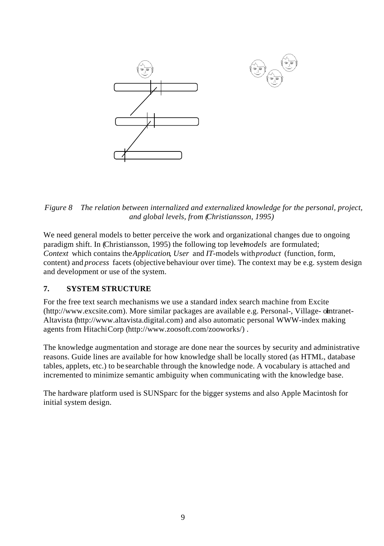

*Figure 8 The relation between internalized and externalized knowledge for the personal, project, and global levels, from (Christiansson, 1995)*

We need general models to better perceive the work and organizational changes due to ongoing paradigm shift. In (Christiansson, 1995) the following top level *models* are formulated; *Context* which contains the *Application*, *User* and *IT*-models with *product* (function, form, content) and *process* facets (objective behaviour over time). The context may be e.g. system design and development or use of the system.

## **7. SYSTEM STRUCTURE**

For the free text search mechanisms we use a standard index search machine from Excite (http://www.excsite.com). More similar packages are available e.g. Personal-, Village- olntranet-Altavista (http://www.altavista.digital.com) and also automatic personal WWW-index making agents from Hitachi Corp (http://www.zoosoft.com/zooworks/) .

The knowledge augmentation and storage are done near the sources by security and administrative reasons. Guide lines are available for how knowledge shall be locally stored (as HTML, database tables, applets, etc.) to be searchable through the knowledge node. A vocabulary is attached and incremented to minimize semantic ambiguity when communicating with the knowledge base.

The hardware platform used is SUNSparc for the bigger systems and also Apple Macintosh for initial system design.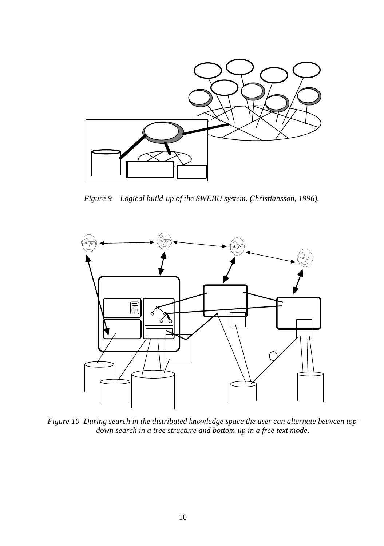

*Figure 9 Logical build-up of the SWEBU system. (Christiansson, 1996).*



*Figure 10 During search in the distributed knowledge space the user can alternate between topdown search in a tree structure and bottom-up in a free text mode.*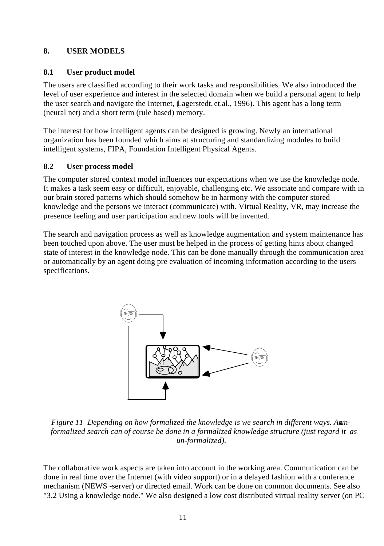## **8. USER MODELS**

#### **8.1 User product model**

The users are classified according to their work tasks and responsibilities. We also introduced the level of user experience and interest in the selected domain when we build a personal agent to help the user search and navigate the Internet, (Lagerstedt, et.al., 1996). This agent has a long term (neural net) and a short term (rule based) memory.

The interest for how intelligent agents can be designed is growing. Newly an international organization has been founded which aims at structuring and standardizing modules to build intelligent systems, FIPA, Foundation Intelligent Physical Agents.

## **8.2 User process model**

The computer stored context model influences our expectations when we use the knowledge node. It makes a task seem easy or difficult, enjoyable, challenging etc. We associate and compare with in our brain stored patterns which should somehow be in harmony with the computer stored knowledge and the persons we interact (communicate) with. Virtual Reality, VR, may increase the presence feeling and user participation and new tools will be invented.

The search and navigation process as well as knowledge augmentation and system maintenance has been touched upon above. The user must be helped in the process of getting hints about changed state of interest in the knowledge node. This can be done manually through the communication area or automatically by an agent doing pre evaluation of incoming information according to the users specifications.



*Figure 11 Depending on how formalized the knowledge is we search in different ways. An unformalized search can of course be done in a formalized knowledge structure (just regard it as un-formalized).*

The collaborative work aspects are taken into account in the working area. Communication can be done in real time over the Internet (with video support) or in a delayed fashion with a conference mechanism (NEWS -server) or directed email. Work can be done on common documents. See also "3.2 Using a knowledge node." We also designed a low cost distributed virtual reality server (on PC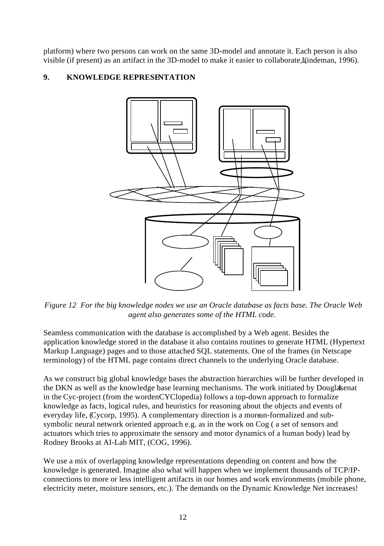platform) where two persons can work on the same 3D-model and annotate it. Each person is also visible (if present) as an artifact in the 3D-model to make it easier to collaborate, L(indeman, 1996).

## **9. KNOWLEDGE REPRESENTATION**



*Figure 12 For the big knowledge nodes we use an Oracle database as facts base. The Oracle Web agent also generates some of the HTML code.*

Seamless communication with the database is accomplished by a Web agent. Besides the application knowledge stored in the database it also contains routines to generate HTML (Hypertext Markup Language) pages and to those attached SQL statements. One of the frames (in Netscape terminology) of the HTML page contains direct channels to the underlying Oracle database.

As we construct big global knowledge bases the abstraction hierarchies will be further developed in the DKN as well as the knowledge base learning mechanisms. The work initiated by Douglas enat in the Cyc-project (from the wordenCYClopedia) follows a top-down approach to formalize knowledge as facts, logical rules, and heuristics for reasoning about the objects and events of everyday life, (Cycorp, 1995). A complementary direction is a more un-formalized and subsymbolic neural network oriented approach e.g. as in the work on Cog ( a set of sensors and actuators which tries to approximate the sensory and motor dynamics of a human body) lead by Rodney Brooks at AI-Lab MIT, (COG, 1996).

We use a mix of overlapping knowledge representations depending on content and how the knowledge is generated. Imagine also what will happen when we implement thousands of TCP/IPconnections to more or less intelligent artifacts in our homes and work environments (mobile phone, electricity meter, moisture sensors, etc.). The demands on the Dynamic Knowledge Net increases!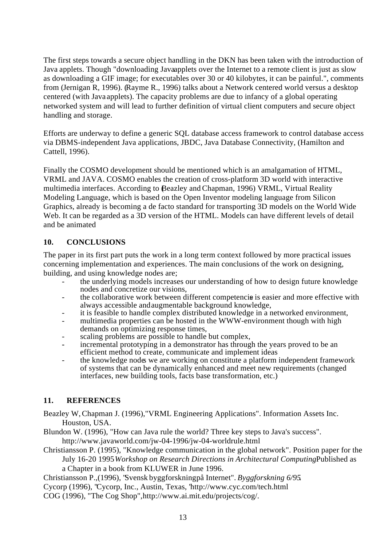The first steps towards a secure object handling in the DKN has been taken with the introduction of Java applets. Though "downloading Javaapplets over the Internet to a remote client is just as slow as downloading a GIF image; for executables over 30 or 40 kilobytes, it can be painful.", comments from (Jernigan R, 1996). (Rayme R., 1996) talks about a Network centered world versus a desktop centered (with Java applets). The capacity problems are due to infancy of a global operating networked system and will lead to further definition of virtual client computers and secure object handling and storage.

Efforts are underway to define a generic SQL database access framework to control database access via DBMS-independent Java applications, JBDC, Java Database Connectivity, (Hamilton and Cattell, 1996).

Finally the COSMO development should be mentioned which is an amalgamation of HTML, VRML and JAVA. COSMO enables the creation of cross-platform 3D world with interactive multimedia interfaces. According to (Beazley and Chapman, 1996) VRML, Virtual Reality Modeling Language, which is based on the Open Inventor modeling language from Silicon Graphics, already is becoming a de facto standard for transporting 3D models on the World Wide Web. It can be regarded as a 3D version of the HTML. Models can have different levels of detail and be animated

## **10. CONCLUSIONS**

The paper in its first part puts the work in a long term context followed by more practical issues concerning implementation and experiences. The main conclusions of the work on designing, building, and using knowledge nodes are;

- the underlying models increases our understanding of how to design future knowledge nodes and concretize our visions,
- the collaborative work between different competencis is easier and more effective with always accessible and augmentable background knowledge,
- it is feasible to handle complex distributed knowledge in a networked environment,
- multimedia properties can be hosted in the WWW-environment though with high demands on optimizing response times,
- scaling problems are possible to handle but complex,
- **-** incremental prototyping in a demonstrator has through the years proved to be an efficient method to create, communicate and implement ideas
- the knowledge nodes we are working on constitute a platform independent framework of systems that can be dynamically enhanced and meet new requirements (changed interfaces, new building tools, facts base transformation, etc.)

#### **11. REFERENCES**

- Beazley W, Chapman J. (1996),"VRML Engineering Applications". Information Assets Inc. Houston, USA.
- Blundon W. (1996), "How can Java rule the world? Three key steps to Java's success". http://www.javaworld.com/jw-04-1996/jw-04-worldrule.html
- Christiansson P. (1995), "Knowledge communication in the global network". Position paper for the July 16-20 1995 *Workshop on Research Directions in Architectural ComputingPublished as* a Chapter in a book from KLUWER in June 1996.
- Christiansson P.,(1996), "Svensk byggforskning på Internet". *Byggforskning 6/95*.
- Cycorp (1996), "Cycorp, Inc., Austin, Texas, "http://www.cyc.com/tech.html
- COG (1996), "The Cog Shop", http://www.ai.mit.edu/projects/cog/.